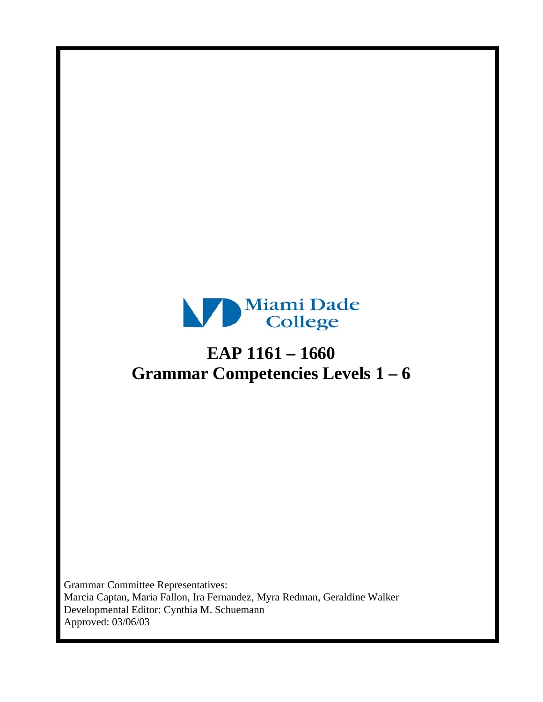

# **EAP 1161 – 1660 Grammar Competencies Levels 1 – 6**

Grammar Committee Representatives: Marcia Captan, Maria Fallon, Ira Fernandez, Myra Redman, Geraldine Walker Developmental Editor: Cynthia M. Schuemann Approved: 03/06/03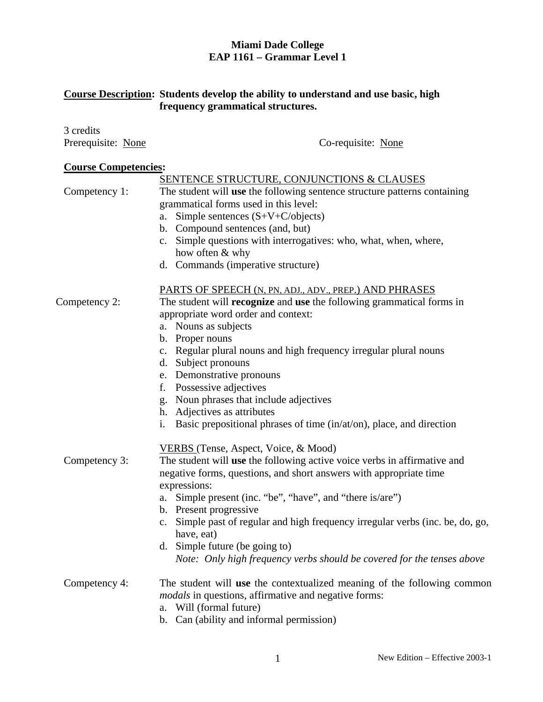# **Miami Dade College EAP 1161 – Grammar Level 1**

# **Course Description: Students develop the ability to understand and use basic, high frequency grammatical structures.**

| 3 credits                   |                                                                                              |
|-----------------------------|----------------------------------------------------------------------------------------------|
| Prerequisite: None          | Co-requisite: None                                                                           |
| <b>Course Competencies:</b> |                                                                                              |
|                             | <b>SENTENCE STRUCTURE, CONJUNCTIONS &amp; CLAUSES</b>                                        |
| Competency 1:               | The student will use the following sentence structure patterns containing                    |
|                             | grammatical forms used in this level:                                                        |
|                             | Simple sentences $(S+V+C/objects)$<br>a.                                                     |
|                             | b. Compound sentences (and, but)                                                             |
|                             | c. Simple questions with interrogatives: who, what, when, where,                             |
|                             | how often & why                                                                              |
|                             | d. Commands (imperative structure)                                                           |
|                             | PARTS OF SPEECH (N, PN, ADJ., ADV., PREP.) AND PHRASES                                       |
| Competency 2:               | The student will <b>recognize</b> and use the following grammatical forms in                 |
|                             | appropriate word order and context:                                                          |
|                             | a. Nouns as subjects                                                                         |
|                             | b. Proper nouns                                                                              |
|                             | Regular plural nouns and high frequency irregular plural nouns<br>c.                         |
|                             | Subject pronouns<br>d.                                                                       |
|                             | Demonstrative pronouns<br>e.                                                                 |
|                             | Possessive adjectives<br>f.                                                                  |
|                             | Noun phrases that include adjectives<br>g.                                                   |
|                             | h. Adjectives as attributes                                                                  |
|                             | Basic prepositional phrases of time (in/at/on), place, and direction<br>i.                   |
|                             | VERBS (Tense, Aspect, Voice, & Mood)                                                         |
| Competency 3:               | The student will use the following active voice verbs in affirmative and                     |
|                             | negative forms, questions, and short answers with appropriate time                           |
|                             | expressions:                                                                                 |
|                             | Simple present (inc. "be", "have", and "there is/are")<br>a.                                 |
|                             | b. Present progressive                                                                       |
|                             | c. Simple past of regular and high frequency irregular verbs (inc. be, do, go,<br>have, eat) |
|                             | d. Simple future (be going to)                                                               |
|                             | Note: Only high frequency verbs should be covered for the tenses above                       |
| Competency 4:               | The student will use the contextualized meaning of the following common                      |
|                             | <i>modals</i> in questions, affirmative and negative forms:                                  |
|                             | Will (formal future)<br>a.                                                                   |
|                             | Can (ability and informal permission)<br>b.                                                  |
|                             |                                                                                              |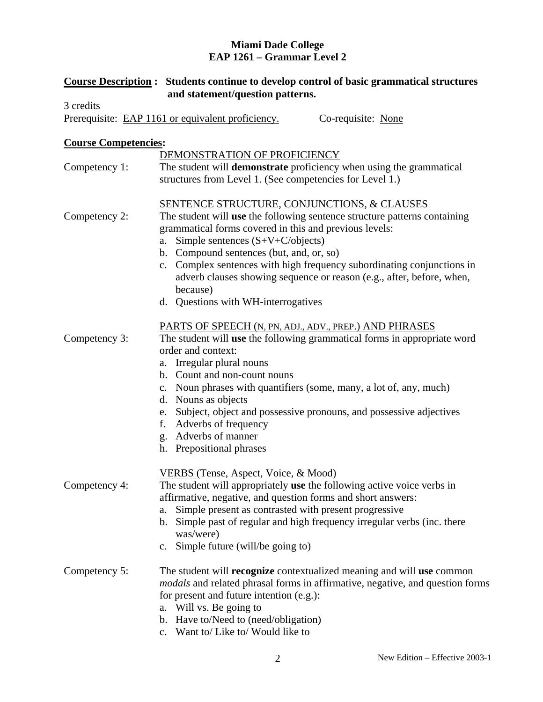## **Miami Dade College EAP 1261 – Grammar Level 2**

|                             | <b>Course Description:</b> Students continue to develop control of basic grammatical structures     |
|-----------------------------|-----------------------------------------------------------------------------------------------------|
| 3 credits                   | and statement/question patterns.                                                                    |
|                             | Prerequisite: EAP 1161 or equivalent proficiency.<br>Co-requisite: None                             |
|                             |                                                                                                     |
| <b>Course Competencies:</b> |                                                                                                     |
|                             | DEMONSTRATION OF PROFICIENCY                                                                        |
| Competency 1:               | The student will demonstrate proficiency when using the grammatical                                 |
|                             | structures from Level 1. (See competencies for Level 1.)                                            |
|                             | <b>SENTENCE STRUCTURE, CONJUNCTIONS, &amp; CLAUSES</b>                                              |
| Competency 2:               | The student will use the following sentence structure patterns containing                           |
|                             | grammatical forms covered in this and previous levels:                                              |
|                             | a. Simple sentences $(S+V+C/objects)$                                                               |
|                             | b. Compound sentences (but, and, or, so)                                                            |
|                             | c. Complex sentences with high frequency subordinating conjunctions in                              |
|                             | adverb clauses showing sequence or reason (e.g., after, before, when,                               |
|                             | because)<br>d. Questions with WH-interrogatives                                                     |
|                             |                                                                                                     |
|                             | PARTS OF SPEECH (N, PN, ADJ., ADV., PREP.) AND PHRASES                                              |
| Competency 3:               | The student will use the following grammatical forms in appropriate word                            |
|                             | order and context:                                                                                  |
|                             | a. Irregular plural nouns                                                                           |
|                             | b. Count and non-count nouns                                                                        |
|                             | c. Noun phrases with quantifiers (some, many, a lot of, any, much)                                  |
|                             | d. Nouns as objects                                                                                 |
|                             | e. Subject, object and possessive pronouns, and possessive adjectives<br>Adverbs of frequency<br>f. |
|                             | g. Adverbs of manner                                                                                |
|                             | h. Prepositional phrases                                                                            |
|                             |                                                                                                     |
|                             | VERBS (Tense, Aspect, Voice, & Mood)                                                                |
| Competency 4:               | The student will appropriately use the following active voice verbs in                              |
|                             | affirmative, negative, and question forms and short answers:                                        |
|                             | Simple present as contrasted with present progressive<br>a.                                         |
|                             | b. Simple past of regular and high frequency irregular verbs (inc. there                            |
|                             | was/were)                                                                                           |
|                             | Simple future (will/be going to)<br>$\mathbf{c}$ .                                                  |
| Competency 5:               | The student will <b>recognize</b> contextualized meaning and will use common                        |
|                             | <i>modals</i> and related phrasal forms in affirmative, negative, and question forms                |
|                             | for present and future intention (e.g.):                                                            |
|                             | a. Will vs. Be going to                                                                             |
|                             | b. Have to/Need to (need/obligation)                                                                |
|                             | c. Want to/ Like to/ Would like to                                                                  |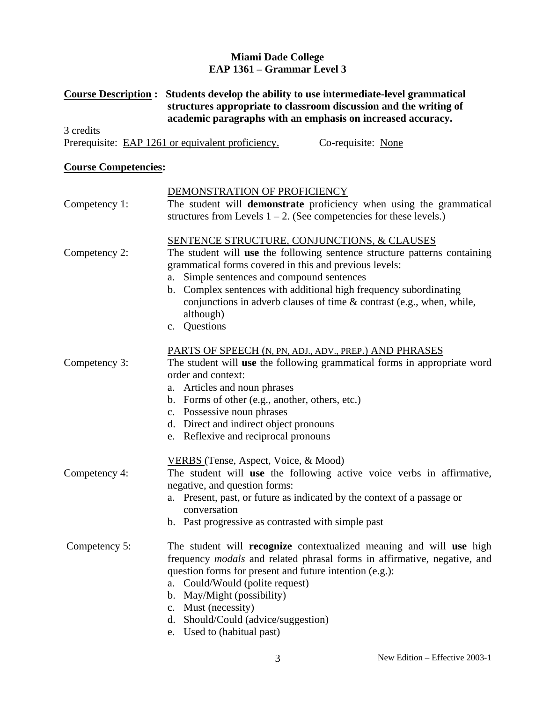# **Miami Dade College EAP 1361 – Grammar Level 3**

# **Course Description : Students develop the ability to use intermediate-level grammatical structures appropriate to classroom discussion and the writing of academic paragraphs with an emphasis on increased accuracy.**

3 credits Prerequisite: EAP 1261 or equivalent proficiency. Co-requisite: None

## **Course Competencies:**

|               | DEMONSTRATION OF PROFICIENCY                                                                                                        |
|---------------|-------------------------------------------------------------------------------------------------------------------------------------|
| Competency 1: | The student will demonstrate proficiency when using the grammatical                                                                 |
|               | structures from Levels $1 - 2$ . (See competencies for these levels.)                                                               |
| Competency 2: | <b>SENTENCE STRUCTURE, CONJUNCTIONS, &amp; CLAUSES</b><br>The student will use the following sentence structure patterns containing |
|               | grammatical forms covered in this and previous levels:                                                                              |
|               | Simple sentences and compound sentences<br>a.                                                                                       |
|               | b. Complex sentences with additional high frequency subordinating                                                                   |
|               | conjunctions in adverb clauses of time & contrast (e.g., when, while,                                                               |
|               | although)                                                                                                                           |
|               | c. Questions                                                                                                                        |
|               | PARTS OF SPEECH (N, PN, ADJ., ADV., PREP.) AND PHRASES                                                                              |
| Competency 3: | The student will use the following grammatical forms in appropriate word                                                            |
|               | order and context:                                                                                                                  |
|               | a. Articles and noun phrases                                                                                                        |
|               | b. Forms of other (e.g., another, others, etc.)                                                                                     |
|               | c. Possessive noun phrases                                                                                                          |
|               | d. Direct and indirect object pronouns<br>e. Reflexive and reciprocal pronouns                                                      |
|               |                                                                                                                                     |
|               | VERBS (Tense, Aspect, Voice, & Mood)                                                                                                |
| Competency 4: | The student will use the following active voice verbs in affirmative,<br>negative, and question forms:                              |
|               | a. Present, past, or future as indicated by the context of a passage or                                                             |
|               | conversation                                                                                                                        |
|               | b. Past progressive as contrasted with simple past                                                                                  |
| Competency 5: | The student will <b>recognize</b> contextualized meaning and will use high                                                          |
|               | frequency modals and related phrasal forms in affirmative, negative, and                                                            |
|               | question forms for present and future intention (e.g.):                                                                             |
|               | a. Could/Would (polite request)                                                                                                     |
|               | b. May/Might (possibility)                                                                                                          |
|               | c. Must (necessity)                                                                                                                 |
|               | d. Should/Could (advice/suggestion)                                                                                                 |

e. Used to (habitual past)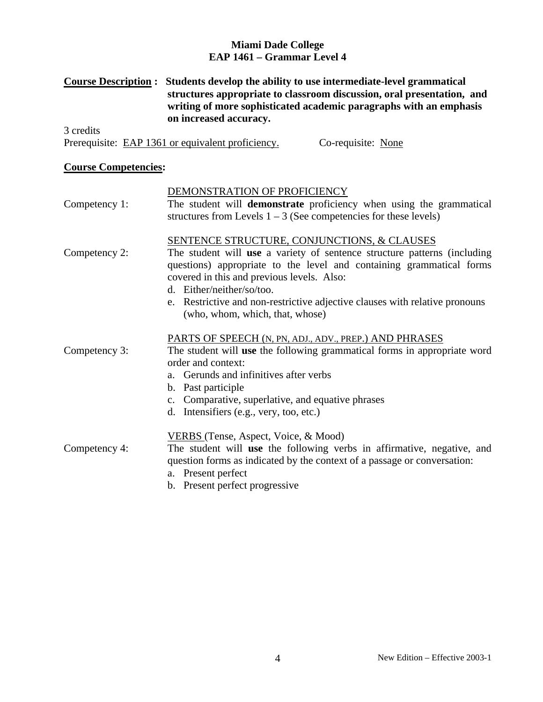#### **Miami Dade College EAP 1461 – Grammar Level 4**

## **Course Description : Students develop the ability to use intermediate-level grammatical structures appropriate to classroom discussion, oral presentation, and writing of more sophisticated academic paragraphs with an emphasis on increased accuracy.**

3 credits Prerequisite: EAP 1361 or equivalent proficiency. Co-requisite: None

#### **Course Competencies:**

|               | DEMONSTRATION OF PROFICIENCY                                                                                                                                                                   |
|---------------|------------------------------------------------------------------------------------------------------------------------------------------------------------------------------------------------|
| Competency 1: | The student will <b>demonstrate</b> proficiency when using the grammatical                                                                                                                     |
|               | structures from Levels $1 - 3$ (See competencies for these levels)                                                                                                                             |
|               | SENTENCE STRUCTURE, CONJUNCTIONS, & CLAUSES                                                                                                                                                    |
| Competency 2: | The student will use a variety of sentence structure patterns (including<br>questions) appropriate to the level and containing grammatical forms<br>covered in this and previous levels. Also: |
|               | d. Either/neither/so/too.                                                                                                                                                                      |
|               | e. Restrictive and non-restrictive adjective clauses with relative pronouns<br>(who, whom, which, that, whose)                                                                                 |
|               | PARTS OF SPEECH (N, PN, ADJ., ADV., PREP.) AND PHRASES                                                                                                                                         |
| Competency 3: | The student will use the following grammatical forms in appropriate word                                                                                                                       |
|               | order and context:                                                                                                                                                                             |
|               | a. Gerunds and infinitives after verbs                                                                                                                                                         |
|               | b. Past participle                                                                                                                                                                             |
|               | c. Comparative, superlative, and equative phrases                                                                                                                                              |
|               | d. Intensifiers (e.g., very, too, etc.)                                                                                                                                                        |
|               | VERBS (Tense, Aspect, Voice, & Mood)                                                                                                                                                           |
| Competency 4: | The student will use the following verbs in affirmative, negative, and                                                                                                                         |
|               | question forms as indicated by the context of a passage or conversation:                                                                                                                       |
|               | a. Present perfect                                                                                                                                                                             |
|               | b. Present perfect progressive                                                                                                                                                                 |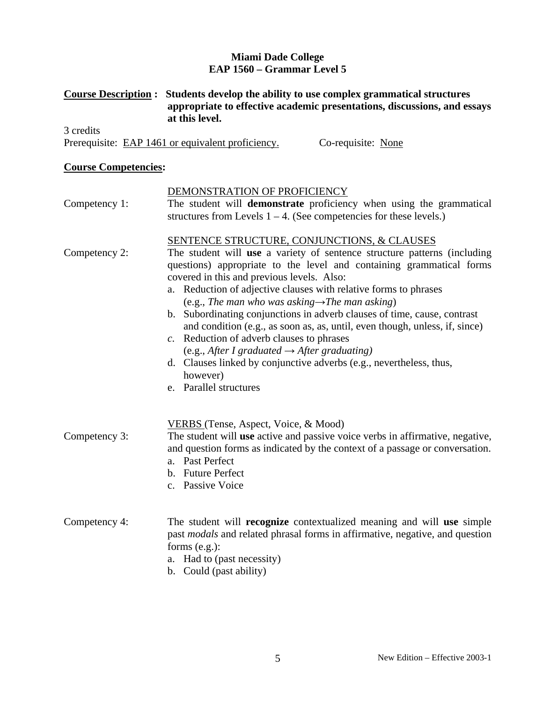# **Miami Dade College EAP 1560 – Grammar Level 5**

# **Course Description : Students develop the ability to use complex grammatical structures appropriate to effective academic presentations, discussions, and essays at this level.**

3 credits Prerequisite: EAP 1461 or equivalent proficiency. Co-requisite: None

## **Course Competencies:**

| Competency 1: | DEMONSTRATION OF PROFICIENCY<br>The student will demonstrate proficiency when using the grammatical<br>structures from Levels $1 - 4$ . (See competencies for these levels.)                                                                                                                                                                                                                                                                                                                                                                                                                                                                                                                                                                                                 |
|---------------|------------------------------------------------------------------------------------------------------------------------------------------------------------------------------------------------------------------------------------------------------------------------------------------------------------------------------------------------------------------------------------------------------------------------------------------------------------------------------------------------------------------------------------------------------------------------------------------------------------------------------------------------------------------------------------------------------------------------------------------------------------------------------|
| Competency 2: | <b>SENTENCE STRUCTURE, CONJUNCTIONS, &amp; CLAUSES</b><br>The student will use a variety of sentence structure patterns (including<br>questions) appropriate to the level and containing grammatical forms<br>covered in this and previous levels. Also:<br>a. Reduction of adjective clauses with relative forms to phrases<br>(e.g., The man who was asking $\rightarrow$ The man asking)<br>b. Subordinating conjunctions in adverb clauses of time, cause, contrast<br>and condition (e.g., as soon as, as, until, even though, unless, if, since)<br>c. Reduction of adverb clauses to phrases<br>(e.g., After I graduated $\rightarrow$ After graduating)<br>d. Clauses linked by conjunctive adverbs (e.g., nevertheless, thus,<br>however)<br>e. Parallel structures |
| Competency 3: | VERBS (Tense, Aspect, Voice, & Mood)<br>The student will use active and passive voice verbs in affirmative, negative,<br>and question forms as indicated by the context of a passage or conversation.<br>a. Past Perfect<br>b. Future Perfect<br>c. Passive Voice                                                                                                                                                                                                                                                                                                                                                                                                                                                                                                            |
| Competency 4: | The student will <b>recognize</b> contextualized meaning and will use simple<br>past modals and related phrasal forms in affirmative, negative, and question<br>forms $(e.g.):$<br>a. Had to (past necessity)<br>b. Could (past ability)                                                                                                                                                                                                                                                                                                                                                                                                                                                                                                                                     |